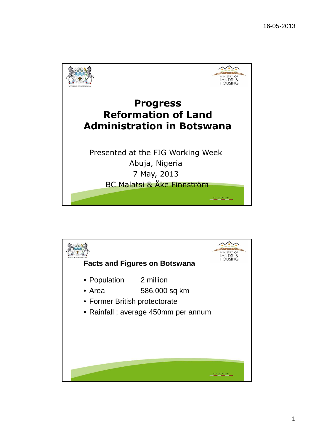

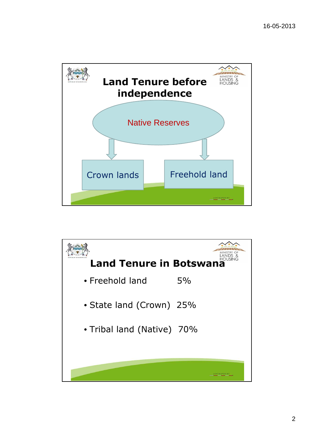

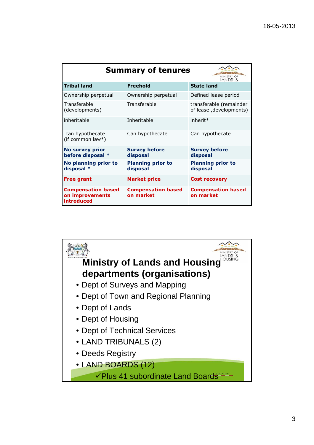| <b>Summary of tenures</b><br>LANDS &                       |                                        |                                                    |
|------------------------------------------------------------|----------------------------------------|----------------------------------------------------|
| <b>Tribal land</b>                                         | <b>Freehold</b>                        | <b>State land</b>                                  |
| Ownership perpetual                                        | Ownership perpetual                    | Defined lease period                               |
| Transferable<br>(developments)                             | Transferable                           | transferable (remainder<br>of lease, developments) |
| inheritable                                                | Inheritable                            | inherit*                                           |
| can hypothecate<br>(if common law*)                        | Can hypothecate                        | Can hypothecate                                    |
| <b>No survey prior</b><br>before disposal *                | <b>Survey before</b><br>disposal       | <b>Survey before</b><br>disposal                   |
| No planning prior to<br>disposal *                         | <b>Planning prior to</b><br>disposal   | <b>Planning prior to</b><br>disposal               |
| <b>Free grant</b>                                          | <b>Market price</b>                    | <b>Cost recovery</b>                               |
| <b>Compensation based</b><br>on improvements<br>introduced | <b>Compensation based</b><br>on market | <b>Compensation based</b><br>on market             |

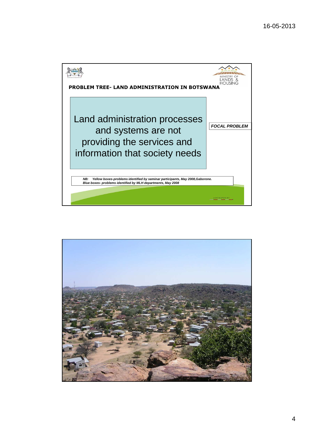

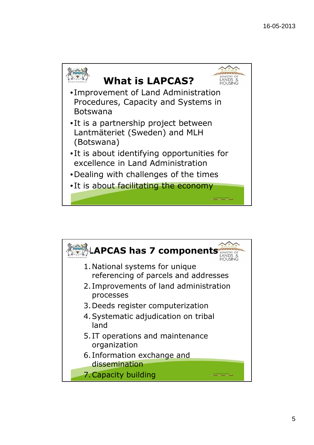

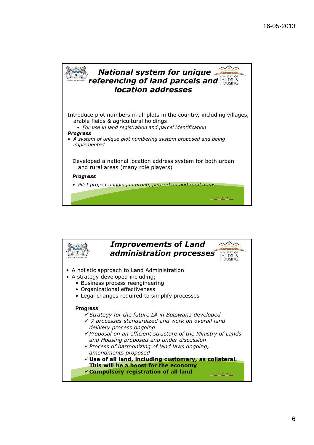

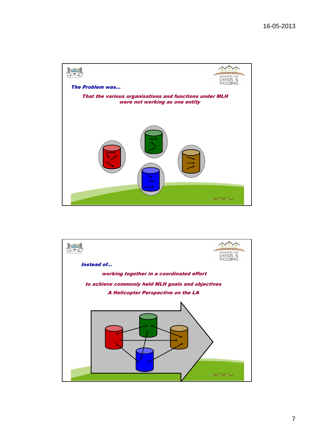

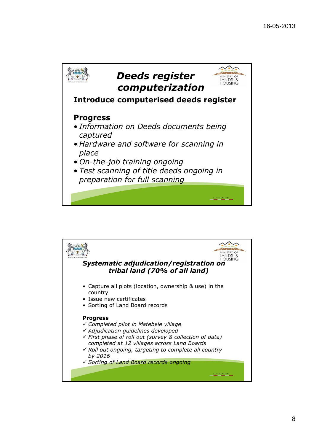

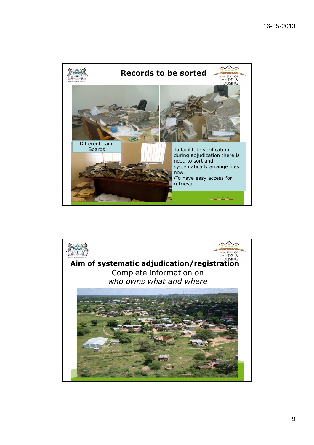

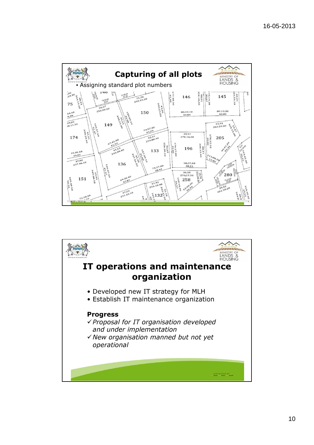

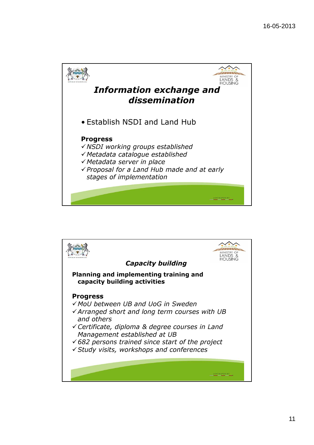

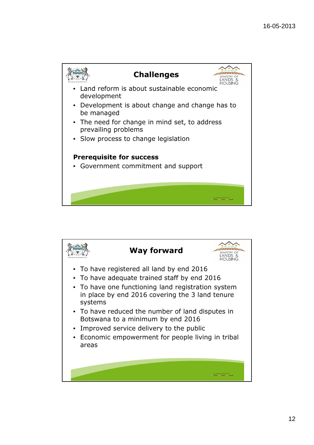